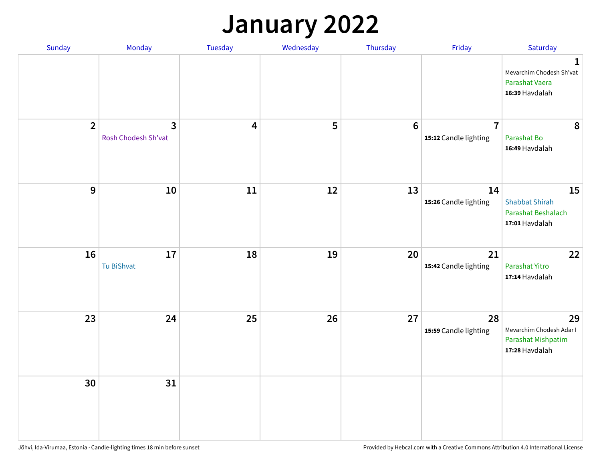### **January 2022**

| Sunday         | Monday                              | Tuesday                 | Wednesday | Thursday        | Friday                                  | Saturday                                                                    |
|----------------|-------------------------------------|-------------------------|-----------|-----------------|-----------------------------------------|-----------------------------------------------------------------------------|
|                |                                     |                         |           |                 |                                         | $\mathbf 1$<br>Mevarchim Chodesh Sh'vat<br>Parashat Vaera<br>16:39 Havdalah |
| $\overline{2}$ | $\mathbf{3}$<br>Rosh Chodesh Sh'vat | $\overline{\mathbf{4}}$ | 5         | $6\phantom{1}6$ | $\overline{7}$<br>15:12 Candle lighting | 8<br>Parashat Bo<br>16:49 Havdalah                                          |
| 9              | 10                                  | 11                      | 12        | 13              | 14<br>15:26 Candle lighting             | 15<br><b>Shabbat Shirah</b><br>Parashat Beshalach<br>17:01 Havdalah         |
| 16             | $17\,$<br>Tu BiShvat                | 18                      | 19        | 20              | 21<br>15:42 Candle lighting             | 22<br>Parashat Yitro<br>17:14 Havdalah                                      |
| 23             | 24                                  | 25                      | 26        | 27              | 28<br>15:59 Candle lighting             | 29<br>Mevarchim Chodesh Adar I<br>Parashat Mishpatim<br>17:28 Havdalah      |
| 30             | 31                                  |                         |           |                 |                                         |                                                                             |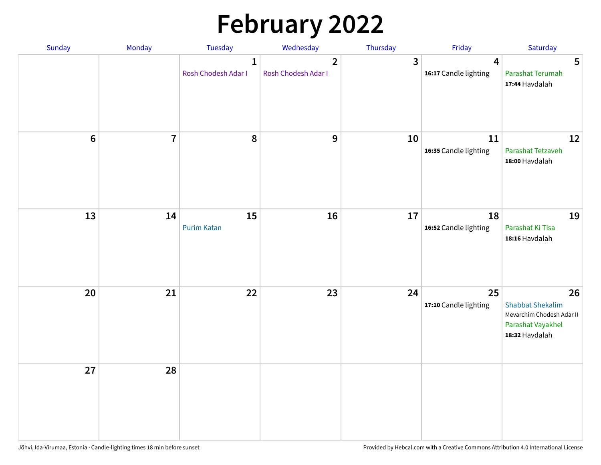# **February 2022**

| Sunday | Monday                  | <b>Tuesday</b>                      | Wednesday                             | Thursday | Friday                                           | Saturday                                                                                          |
|--------|-------------------------|-------------------------------------|---------------------------------------|----------|--------------------------------------------------|---------------------------------------------------------------------------------------------------|
|        |                         | $\mathbf{1}$<br>Rosh Chodesh Adar I | $\overline{2}$<br>Rosh Chodesh Adar I | 3        | $\overline{\mathbf{4}}$<br>16:17 Candle lighting | 5<br>Parashat Terumah<br>17:44 Havdalah                                                           |
| $6\,$  | $\overline{\mathbf{7}}$ | 8                                   | 9                                     | 10       | 11<br>16:35 Candle lighting                      | 12<br>Parashat Tetzaveh<br>18:00 Havdalah                                                         |
| 13     | 14                      | 15<br><b>Purim Katan</b>            | 16                                    | 17       | 18<br>16:52 Candle lighting                      | 19<br>Parashat Ki Tisa<br>18:16 Havdalah                                                          |
| 20     | 21                      | 22                                  | 23                                    | 24       | 25<br>17:10 Candle lighting                      | 26<br><b>Shabbat Shekalim</b><br>Mevarchim Chodesh Adar II<br>Parashat Vayakhel<br>18:32 Havdalah |
| 27     | 28                      |                                     |                                       |          |                                                  |                                                                                                   |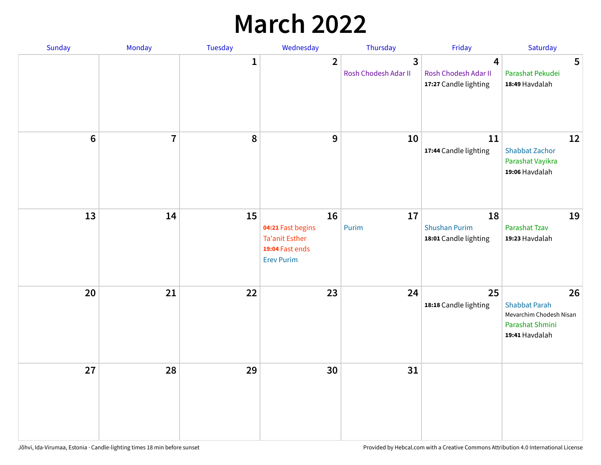## **March 2022**

| Sunday  | <b>Monday</b>  | <b>Tuesday</b> | Wednesday                                                                                | Thursday                                        | Friday                                              | Saturday                                                                                   |
|---------|----------------|----------------|------------------------------------------------------------------------------------------|-------------------------------------------------|-----------------------------------------------------|--------------------------------------------------------------------------------------------|
|         |                | $\mathbf{1}$   | $\overline{2}$                                                                           | $\overline{\mathbf{3}}$<br>Rosh Chodesh Adar II | 4<br>Rosh Chodesh Adar II<br>17:27 Candle lighting  | 5<br>Parashat Pekudei<br>18:49 Havdalah                                                    |
| $\bf 6$ | $\overline{7}$ | 8              | 9                                                                                        | 10                                              | 11<br>17:44 Candle lighting                         | 12<br><b>Shabbat Zachor</b><br>Parashat Vayikra<br>19:06 Havdalah                          |
| 13      | 14             | 15             | 16<br>04:21 Fast begins<br><b>Ta'anit Esther</b><br>19:04 Fast ends<br><b>Erev Purim</b> | 17<br>Purim                                     | 18<br><b>Shushan Purim</b><br>18:01 Candle lighting | 19<br>Parashat Tzav<br>19:23 Havdalah                                                      |
| 20      | 21             | 22             | 23                                                                                       | 24                                              | 25<br>18:18 Candle lighting                         | 26<br><b>Shabbat Parah</b><br>Mevarchim Chodesh Nisan<br>Parashat Shmini<br>19:41 Havdalah |
| 27      | 28             | 29             | 30                                                                                       | 31                                              |                                                     |                                                                                            |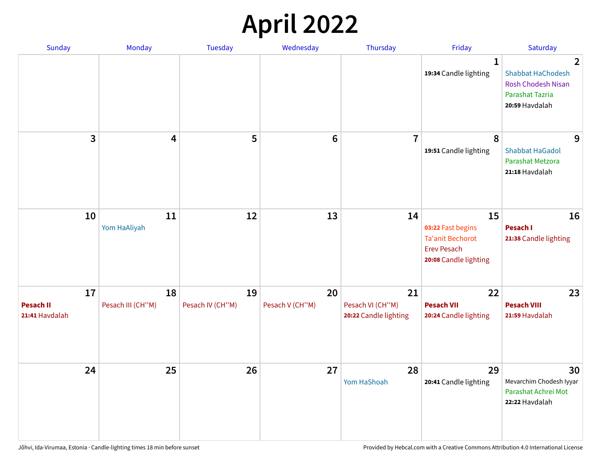## **April 2022**

| <b>Sunday</b>                            | <b>Monday</b>           | <b>Tuesday</b>         | Wednesday             | Thursday                                        | Friday                                                                                            | Saturday                                                                                                   |
|------------------------------------------|-------------------------|------------------------|-----------------------|-------------------------------------------------|---------------------------------------------------------------------------------------------------|------------------------------------------------------------------------------------------------------------|
|                                          |                         |                        |                       |                                                 | $\mathbf{1}$<br>19:34 Candle lighting                                                             | $\mathbf{2}$<br><b>Shabbat HaChodesh</b><br>Rosh Chodesh Nisan<br><b>Parashat Tazria</b><br>20:59 Havdalah |
| 3                                        | 4                       | 5                      | $\bf 6$               | $\overline{7}$                                  | 8<br>19:51 Candle lighting                                                                        | 9<br><b>Shabbat HaGadol</b><br>Parashat Metzora<br>21:18 Havdalah                                          |
| 10                                       | 11<br>Yom HaAliyah      | 12                     | 13                    | 14                                              | 15<br>03:22 Fast begins<br><b>Ta'anit Bechorot</b><br><b>Erev Pesach</b><br>20:08 Candle lighting | 16<br>Pesach I<br>21:38 Candle lighting                                                                    |
| 17<br><b>Pesach II</b><br>21:41 Havdalah | 18<br>Pesach III (CH"M) | 19<br>Pesach IV (CH"M) | 20<br>Pesach V (CH"M) | 21<br>Pesach VI (CH"M)<br>20:22 Candle lighting | 22<br><b>Pesach VII</b><br>20:24 Candle lighting                                                  | 23<br><b>Pesach VIII</b><br>21:59 Havdalah                                                                 |
| 24                                       | 25                      | 26                     | 27                    | 28<br>Yom HaShoah                               | 29<br>20:41 Candle lighting                                                                       | 30<br>Mevarchim Chodesh Iyyar<br>Parashat Achrei Mot<br>22:22 Havdalah                                     |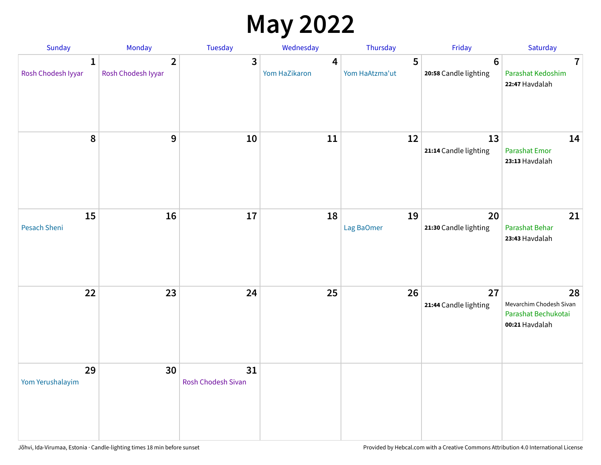## **May 2022**

| Sunday                  | Monday                               | Tuesday                         | Wednesday          | Thursday            | Friday                                  | Saturday                                                               |
|-------------------------|--------------------------------------|---------------------------------|--------------------|---------------------|-----------------------------------------|------------------------------------------------------------------------|
| 1<br>Rosh Chodesh Iyyar | $\overline{2}$<br>Rosh Chodesh Iyyar | 3                               | 4<br>Yom HaZikaron | 5<br>Yom HaAtzma'ut | $6\phantom{1}$<br>20:58 Candle lighting | $\overline{7}$<br>Parashat Kedoshim<br>22:47 Havdalah                  |
| $\pmb{8}$               | $\mathbf{9}$                         | 10                              | 11                 | 12                  | 13<br>21:14 Candle lighting             | 14<br><b>Parashat Emor</b><br>23:13 Havdalah                           |
| 15<br>Pesach Sheni      | 16                                   | 17                              | 18                 | 19<br>Lag BaOmer    | 20<br>21:30 Candle lighting             | 21<br>Parashat Behar<br>23:43 Havdalah                                 |
| 22                      | 23                                   | 24                              | 25                 | 26                  | 27<br>21:44 Candle lighting             | 28<br>Mevarchim Chodesh Sivan<br>Parashat Bechukotai<br>00:21 Havdalah |
| 29<br>Yom Yerushalayim  | 30                                   | 31<br><b>Rosh Chodesh Sivan</b> |                    |                     |                                         |                                                                        |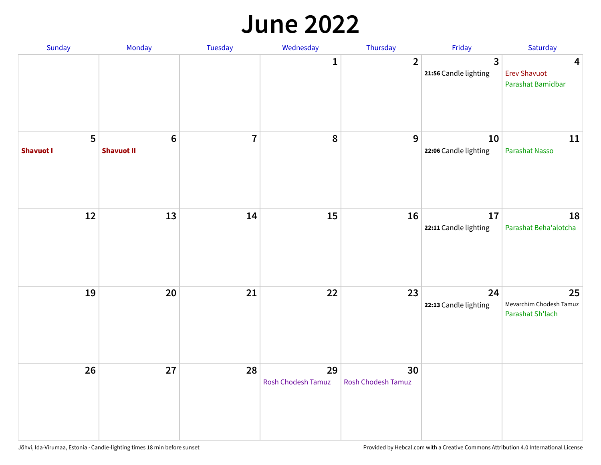#### **June 2022**

| Sunday                | Monday                       | Tuesday        | Wednesday                       | Thursday                 | Friday                      | Saturday                                          |
|-----------------------|------------------------------|----------------|---------------------------------|--------------------------|-----------------------------|---------------------------------------------------|
|                       |                              |                | 1                               | $\overline{2}$           | 3<br>21:56 Candle lighting  | 4<br><b>Erev Shavuot</b><br>Parashat Bamidbar     |
| 5<br><b>Shavuot I</b> | $\bf 6$<br><b>Shavuot II</b> | $\overline{7}$ | $\pmb{8}$                       | 9                        | 10<br>22:06 Candle lighting | 11<br>Parashat Nasso                              |
| $12\,$                | 13                           | 14             | 15                              | 16                       | 17<br>22:11 Candle lighting | 18<br>Parashat Beha'alotcha                       |
| 19                    | 20                           | 21             | 22                              | 23                       | 24<br>22:13 Candle lighting | 25<br>Mevarchim Chodesh Tamuz<br>Parashat Sh'lach |
| 26                    | 27                           | 28             | 29<br><b>Rosh Chodesh Tamuz</b> | 30<br>Rosh Chodesh Tamuz |                             |                                                   |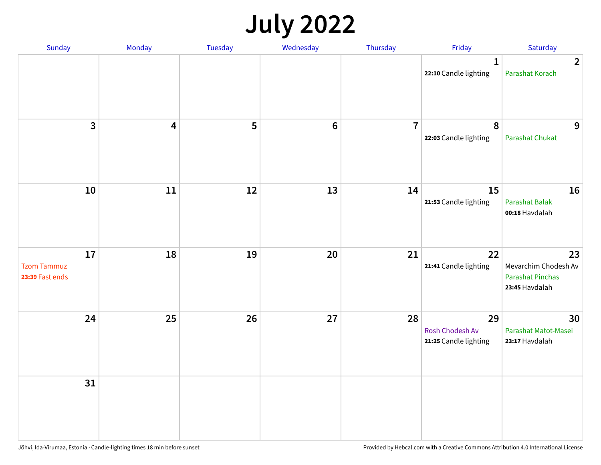## **July 2022**

| Sunday                                      | Monday | Tuesday | Wednesday | Thursday       | Friday                                         | Saturday                                                                |
|---------------------------------------------|--------|---------|-----------|----------------|------------------------------------------------|-------------------------------------------------------------------------|
|                                             |        |         |           |                | $\mathbf{1}$<br>22:10 Candle lighting          | $\overline{2}$<br>Parashat Korach                                       |
| $\mathbf{3}$                                | 4      | 5       | $\bf 6$   | $\overline{7}$ | $\boldsymbol{8}$<br>22:03 Candle lighting      | 9<br><b>Parashat Chukat</b>                                             |
| 10                                          | 11     | 12      | 13        | 14             | 15<br>21:53 Candle lighting                    | 16<br>Parashat Balak<br>00:18 Havdalah                                  |
| 17<br><b>Tzom Tammuz</b><br>23:39 Fast ends | 18     | 19      | 20        | 21             | 22<br>21:41 Candle lighting                    | 23<br>Mevarchim Chodesh Av<br><b>Parashat Pinchas</b><br>23:45 Havdalah |
| 24                                          | 25     | 26      | 27        | 28             | 29<br>Rosh Chodesh Av<br>21:25 Candle lighting | 30<br>Parashat Matot-Masei<br>23:17 Havdalah                            |
| 31                                          |        |         |           |                |                                                |                                                                         |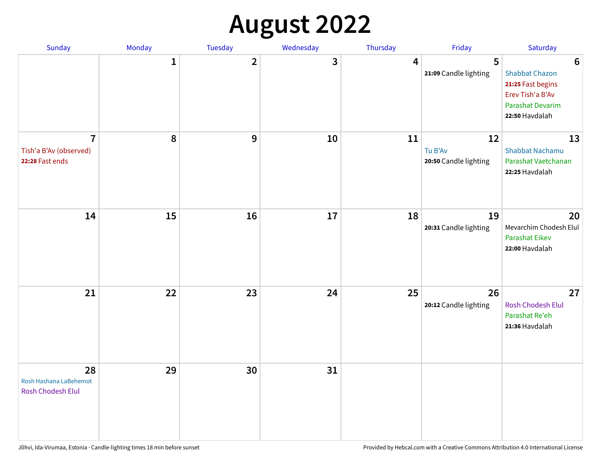## **August 2022**

| Sunday                                                      | Monday       | Tuesday                 | Wednesday | Thursday | Friday                                 | Saturday                                                                                                                       |
|-------------------------------------------------------------|--------------|-------------------------|-----------|----------|----------------------------------------|--------------------------------------------------------------------------------------------------------------------------------|
|                                                             | $\mathbf{1}$ | $\overline{\mathbf{2}}$ | 3         | 4        | 5<br>21:09 Candle lighting             | $6\phantom{1}6$<br><b>Shabbat Chazon</b><br>21:25 Fast begins<br>Erev Tish'a B'Av<br><b>Parashat Devarim</b><br>22:50 Havdalah |
| $\overline{7}$<br>Tish'a B'Av (observed)<br>22:28 Fast ends | 8            | 9                       | 10        | 11       | 12<br>Tu B'Av<br>20:50 Candle lighting | 13<br><b>Shabbat Nachamu</b><br>Parashat Vaetchanan<br>22:25 Havdalah                                                          |
| 14                                                          | 15           | 16                      | 17        | 18       | 19<br>20:31 Candle lighting            | 20<br>Mevarchim Chodesh Elul<br><b>Parashat Eikev</b><br>22:00 Havdalah                                                        |
| 21                                                          | 22           | 23                      | 24        | 25       | 26<br>20:12 Candle lighting            | 27<br><b>Rosh Chodesh Elul</b><br>Parashat Re'eh<br>21:36 Havdalah                                                             |
| 28<br>Rosh Hashana LaBehemot<br><b>Rosh Chodesh Elul</b>    | 29           | 30                      | 31        |          |                                        |                                                                                                                                |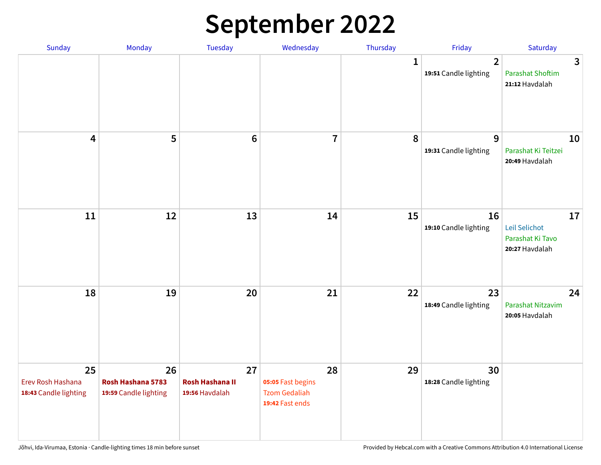## **September 2022**

| Sunday                                           | Monday                                           | <b>Tuesday</b>                                 | Wednesday                                                          | Thursday    | Friday                                  | Saturday                                                  |
|--------------------------------------------------|--------------------------------------------------|------------------------------------------------|--------------------------------------------------------------------|-------------|-----------------------------------------|-----------------------------------------------------------|
|                                                  |                                                  |                                                |                                                                    | $\mathbf 1$ | $\overline{2}$<br>19:51 Candle lighting | 3<br><b>Parashat Shoftim</b><br>21:12 Havdalah            |
| $\overline{\mathbf{4}}$                          | 5                                                | $6\phantom{1}6$                                | $\overline{7}$                                                     | 8           | 9<br>19:31 Candle lighting              | 10<br>Parashat Ki Teitzei<br>20:49 Havdalah               |
| 11                                               | 12                                               | 13                                             | 14                                                                 | 15          | 16<br>19:10 Candle lighting             | 17<br>Leil Selichot<br>Parashat Ki Tavo<br>20:27 Havdalah |
| 18                                               | 19                                               | 20                                             | 21                                                                 | 22          | 23<br>18:49 Candle lighting             | 24<br>Parashat Nitzavim<br>20:05 Havdalah                 |
| 25<br>Erev Rosh Hashana<br>18:43 Candle lighting | 26<br>Rosh Hashana 5783<br>19:59 Candle lighting | 27<br><b>Rosh Hashana II</b><br>19:56 Havdalah | 28<br>05:05 Fast begins<br><b>Tzom Gedaliah</b><br>19:42 Fast ends | 29          | 30<br>18:28 Candle lighting             |                                                           |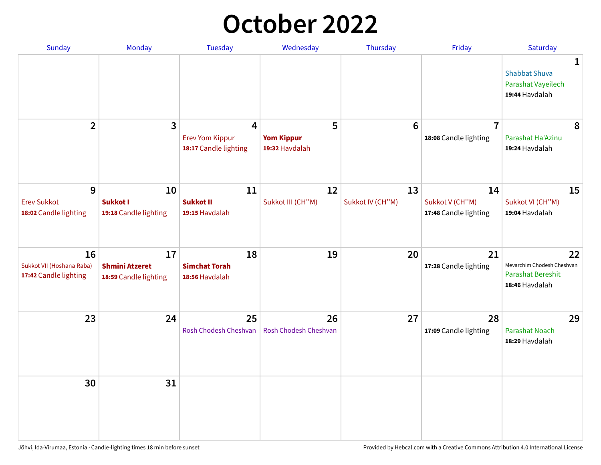## **October 2022**

| <b>Sunday</b>                                            | Monday                                               | <b>Tuesday</b>                                       | Wednesday                                | Thursday               | Friday                                         | Saturday                                                                |
|----------------------------------------------------------|------------------------------------------------------|------------------------------------------------------|------------------------------------------|------------------------|------------------------------------------------|-------------------------------------------------------------------------|
|                                                          |                                                      |                                                      |                                          |                        |                                                | 1<br><b>Shabbat Shuva</b><br>Parashat Vayeilech<br>19:44 Havdalah       |
| $\mathbf{2}$                                             | 3                                                    | 4<br><b>Erev Yom Kippur</b><br>18:17 Candle lighting | 5<br><b>Yom Kippur</b><br>19:32 Havdalah | $6\phantom{1}6$        | $\overline{7}$<br>18:08 Candle lighting        | 8<br>Parashat Ha'Azinu<br>19:24 Havdalah                                |
| 9<br><b>Erev Sukkot</b><br>18:02 Candle lighting         | 10<br>Sukkot I<br>19:18 Candle lighting              | 11<br><b>Sukkot II</b><br>19:15 Havdalah             | 12<br>Sukkot III (CH"M)                  | 13<br>Sukkot IV (CH"M) | 14<br>Sukkot V (CH"M)<br>17:48 Candle lighting | 15<br>Sukkot VI (CH"M)<br>19:04 Havdalah                                |
| 16<br>Sukkot VII (Hoshana Raba)<br>17:42 Candle lighting | 17<br><b>Shmini Atzeret</b><br>18:59 Candle lighting | 18<br><b>Simchat Torah</b><br>18:56 Havdalah         | 19                                       | 20                     | 21<br>17:28 Candle lighting                    | 22<br>Mevarchim Chodesh Cheshvan<br>Parashat Bereshit<br>18:46 Havdalah |
| 23                                                       | 24                                                   | 25<br>Rosh Chodesh Cheshvan                          | 26<br><b>Rosh Chodesh Cheshvan</b>       | 27                     | 28<br>17:09 Candle lighting                    | 29<br><b>Parashat Noach</b><br>18:29 Havdalah                           |
| 30                                                       | 31                                                   |                                                      |                                          |                        |                                                |                                                                         |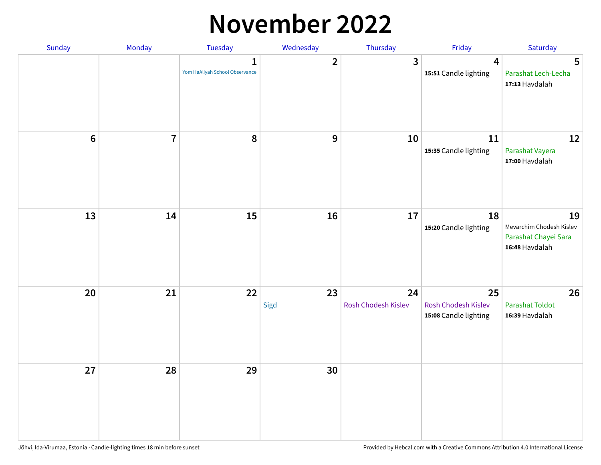## **November 2022**

| Sunday         | Monday         | Tuesday                                        | Wednesday    | Thursday                  | Friday                                             | Saturday                                                                 |
|----------------|----------------|------------------------------------------------|--------------|---------------------------|----------------------------------------------------|--------------------------------------------------------------------------|
|                |                | $\mathbf{1}$<br>Yom HaAliyah School Observance | $\mathbf{2}$ | 3                         | $\overline{4}$<br>15:51 Candle lighting            | $5\phantom{.0}$<br>Parashat Lech-Lecha<br>17:13 Havdalah                 |
| $6\phantom{1}$ | $\overline{7}$ | 8                                              | 9            | 10                        | 11<br>15:35 Candle lighting                        | 12<br>Parashat Vayera<br>17:00 Havdalah                                  |
| 13             | 14             | 15                                             | 16           | 17                        | 18<br>15:20 Candle lighting                        | 19<br>Mevarchim Chodesh Kislev<br>Parashat Chayei Sara<br>16:48 Havdalah |
| 20             | 21             | 22                                             | 23<br>Sigd   | 24<br>Rosh Chodesh Kislev | 25<br>Rosh Chodesh Kislev<br>15:08 Candle lighting | 26<br><b>Parashat Toldot</b><br>16:39 Havdalah                           |
| 27             | 28             | 29                                             | 30           |                           |                                                    |                                                                          |